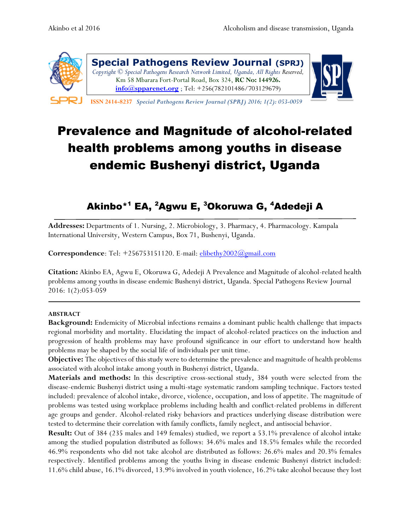

**Special Pathogens Review Journal (SPRJ)** *Copyright © Special Pathogens Research Network Limited, Uganda, All Rights Reserved,*  Km 58 Mbarara Fort-Portal Road, Box 324, **RC No: 144926. [info@spparenet.org](mailto:info@spparenet.org)** ; Tel: +256(782101486/703129679)



 **ISSN 2414-8237** *Special Pathogens Review Journal (SPRJ) 2016; 1(2): 053-0059* 

# Prevalence and Magnitude of alcohol-related health problems among youths in disease endemic Bushenyi district, Uganda

## Akinbo\*<sup>1</sup> EA, <sup>2</sup>Agwu E, <sup>3</sup>Okoruwa G, <sup>4</sup>Adedeji A

**Addresses:** Departments of 1. Nursing, 2. Microbiology, 3. Pharmacy, 4. Pharmacology. Kampala International University, Western Campus, Box 71, Bushenyi, Uganda.

**Correspondence**: Tel: +256753151120. E-mail: [elibethy2002@gmail.com](mailto:elibethy2002@gmail.com)

**Citation:** Akinbo EA, Agwu E, Okoruwa G, Adedeji A Prevalence and Magnitude of alcohol-related health problems among youths in disease endemic Bushenyi district, Uganda. Special Pathogens Review Journal 2016: 1(2):053-059

#### **ABSTRACT**

**Background:** Endemicity of Microbial infections remains a dominant public health challenge that impacts regional morbidity and mortality. Elucidating the impact of alcohol-related practices on the induction and progression of health problems may have profound significance in our effort to understand how health problems may be shaped by the social life of individuals per unit time.

**Objective:** The objectives of this study were to determine the prevalence and magnitude of health problems associated with alcohol intake among youth in Bushenyi district, Uganda.

**Materials and methods:** In this descriptive cross-sectional study, 384 youth were selected from the disease-endemic Bushenyi district using a multi-stage systematic random sampling technique. Factors tested included: prevalence of alcohol intake, divorce, violence, occupation, and loss of appetite. The magnitude of problems was tested using workplace problems including health and conflict-related problems in different age groups and gender. Alcohol-related risky behaviors and practices underlying disease distribution were tested to determine their correlation with family conflicts, family neglect, and antisocial behavior.

**Result:** Out of 384 (235 males and 149 females) studied, we report a 53.1% prevalence of alcohol intake among the studied population distributed as follows: 34.6% males and 18.5% females while the recorded 46.9% respondents who did not take alcohol are distributed as follows: 26.6% males and 20.3% females respectively. Identified problems among the youths living in disease endemic Bushenyi district included: 11.6% child abuse, 16.1% divorced, 13.9% involved in youth violence, 16.2% take alcohol because they lost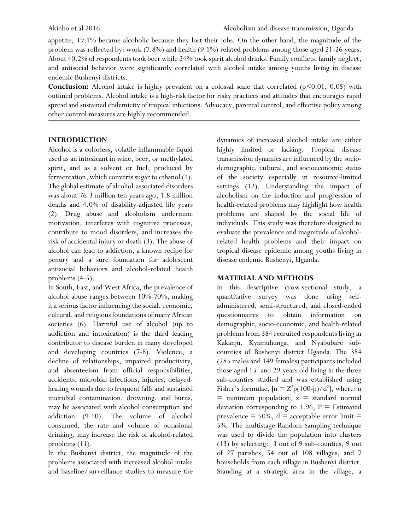appetite, 19.1% became alcoholic because they lost their jobs. On the other hand, the magnitude of the problem was reflected by: work (7.8%) and health (9.1%) related problems among those aged 21-26 years. About 40.2% of respondents took beer while 24% took spirit alcohol drinks. Family conflicts, family neglect, and antisocial behavior were significantly correlated with alcohol intake among youths living in disease endemic Bushenyi districts.

Conclusion: Alcohol intake is highly prevalent on a colossal scale that correlated (p<0.01, 0.05) with outlined problems. Alcohol intake is a high-risk factor for risky practices and attitudes that encourages rapid spread and sustained endemicity of tropical infections. Advocacy, parental control, and effective policy among other control measures are highly recommended.

### **INTRODUCTION**

Alcohol is a colorless, volatile inflammable liquid used as an intoxicant in wine, beer, or methylated spirit, and as a solvent or fuel, produced by fermentation, which converts sugar to ethanol (1). The global estimate of alcohol-associated disorders was about 76.3 million ten years ago, 1.8 million deaths and 4.0% of disability-adjusted life years (2). Drug abuse and alcoholism undermine motivation, interferes with cognitive processes, contribute to mood disorders, and increases the risk of accidental injury or death (3). The abuse of alcohol can lead to addiction, a known recipe for penury and a sure foundation for adolescent antisocial behaviors and alcohol-related health problems (4-5).

In South, East, and West Africa, the prevalence of alcohol abuse ranges between 10%-70%, making it a serious factor influencing the social, economic, cultural, and religious foundations of many African societies (6). Harmful use of alcohol (up to addiction and intoxication) is the third leading contributor to disease burden in many developed and developing countries (7-8). Violence, a decline of relationships, impaired productivity, and absenteeism from official responsibilities, accidents, microbial infections, injuries, delayedhealing wounds due to frequent falls and sustained microbial contamination, drowning, and burns, may be associated with alcohol consumption and addiction (9-10). The volume of alcohol consumed, the rate and volume of occasional drinking, may increase the risk of alcohol-related problems (11).

In the Bushenyi district, the magnitude of the problems associated with increased alcohol intake and baseline/surveillance studies to measure the

dynamics of increased alcohol intake are either highly limited or lacking. Tropical disease transmission dynamics are influenced by the sociodemographic, cultural, and socioeconomic status of the society especially in resource-limited settings (12). Understanding the impact of alcoholism on the induction and progression of health-related problems may highlight how health problems are shaped by the social life of individuals. This study was therefore designed to evaluate the prevalence and magnitude of alcoholrelated health problems and their impact on tropical disease epidemic among youths living in disease endemic Bushenyi, Uganda.

### **MATERIAL AND METHODS**

In this descriptive cross-sectional study, a quantitative survey was done using selfadministered, semi-structured, and closed-ended questionnaires to obtain information on demographic, socio-economic, and health-related problems from 384 recruited respondents living in Kakanju, Kyamuhunga, and Nyabubare subcounties of Bushenyi district Uganda. The 384 (285 males and 149 females) participants included those aged 15- and 29-years old living in the three sub-counties studied and was established using Fisher's formulae,  $[n = Z^2p(100-p)/d^2]$ , where: n  $\equiv$  minimum population;  $z =$  standard normal deviation corresponding to 1.96;  $P =$  Estimated prevalence  $= 50\%$ , d  $=$  acceptable error limit  $=$ 5%. The multistage Random Sampling technique was used to divide the population into clusters (13) by selecting: 3 out of 9 sub-counties, 9 out of 27 parishes, 54 out of 108 villages, and 7 households from each village in Bushenyi district. Standing at a strategic area in the village, a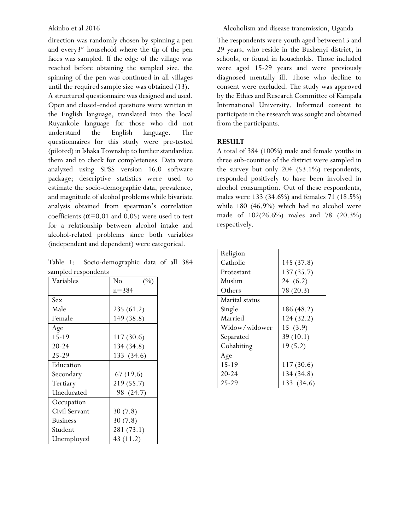direction was randomly chosen by spinning a pen and every3rd household where the tip of the pen faces was sampled. If the edge of the village was reached before obtaining the sampled size, the spinning of the pen was continued in all villages until the required sample size was obtained (13).

A structured questionnaire was designed and used. Open and closed-ended questions were written in the English language, translated into the local Ruyankole language for those who did not understand the English language. The questionnaires for this study were pre-tested (piloted) in Ishaka Township to further standardize them and to check for completeness. Data were analyzed using SPSS version 16.0 software package; descriptive statistics were used to estimate the socio-demographic data, prevalence, and magnitude of alcohol problems while bivariate analysis obtained from spearman's correlation coefficients ( $\alpha$ =0.01 and 0.05) were used to test for a relationship between alcohol intake and alcohol-related problems since both variables (independent and dependent) were categorical.

Table 1: Socio-demographic data of all 384 sampled respondents

| Variables       | No<br>(%)  |
|-----------------|------------|
|                 | $n = 384$  |
| Sex             |            |
| Male            | 235 (61.2) |
| Female          | 149 (38.8) |
| Age             |            |
| $15 - 19$       | 117 (30.6) |
| $20 - 24$       | 134(34.8)  |
| 25-29           | 133 (34.6) |
| Education       |            |
| Secondary       | 67(19.6)   |
| Tertiary        | 219 (55.7) |
| Uneducated      | 98 (24.7)  |
| Occupation      |            |
| Civil Servant   | 30(7.8)    |
| <b>Business</b> | 30(7.8)    |
| Student         | 281 (73.1) |
| Unemployed      | 43 (11.2)  |

### Akinbo et al 2016 Alcoholism and disease transmission, Uganda

The respondents were youth aged between15 and 29 years, who reside in the Bushenyi district, in schools, or found in households. Those included were aged 15-29 years and were previously diagnosed mentally ill. Those who decline to consent were excluded. The study was approved by the Ethics and Research Committee of Kampala International University. Informed consent to participate in the research was sought and obtained from the participants.

### **RESULT**

A total of 384 (100%) male and female youths in three sub-counties of the district were sampled in the survey but only 204 (53.1%) respondents, responded positively to have been involved in alcohol consumption. Out of these respondents, males were 133 (34.6%) and females 71 (18.5%) while 180 (46.9%) which had no alcohol were made of 102(26.6%) males and 78 (20.3%) respectively.

| Religion       |            |
|----------------|------------|
| Catholic       | 145 (37.8) |
| Protestant     | 137 (35.7) |
| Muslim         | 24(6.2)    |
| Others         | 78 (20.3)  |
| Marital status |            |
| Single         | 186 (48.2) |
| Married        | 124(32.2)  |
| Widow/widower  | 15(3.9)    |
| Separated      | 39(10.1)   |
| Cohabiting     | 19(5.2)    |
| Age            |            |
| $15 - 19$      | 117 (30.6) |
| $20 - 24$      | 134 (34.8) |
| 25-29          | 133 (34.6) |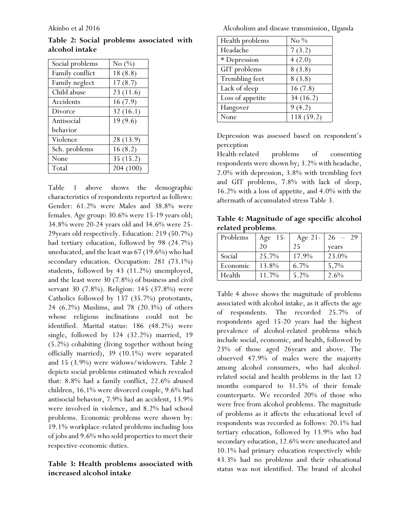|                |  | Table 2: Social problems associated with |  |
|----------------|--|------------------------------------------|--|
| alcohol intake |  |                                          |  |

| Social problems | No $(\%)$ |
|-----------------|-----------|
| Family conflict | 18(8.8)   |
| Family neglect  | 17(8.7)   |
| Child abuse     | 23(11.6)  |
| Accidents       | 16(7.9)   |
| Divorce         | 32(16.1)  |
| Antisocial      | 19(9.6)   |
| behavior        |           |
| Violence        | 28 (13.9) |
| Sch. problems   | 16(8.2)   |
| None            | 35(15.2)  |
| Total           | 204 (100) |

Table 1 above shows the demographic characteristics of respondents reported as follows: Gender: 61.2% were Males and 38.8% were females. Age group: 30.6% were 15-19 years old; 34.8% were 20-24 years old and 34.6% were 25- 29years old respectively. Education: 219 (50.7%) had tertiary education, followed by 98 (24.7%) uneducated, and the least was 67 (19.6%) who had secondary education. Occupation: 281 (73.1%) students, followed by 43 (11.2%) unemployed, and the least were 30 (7.8%) of business and civil servant 30 (7.8%). Religion: 145 (37.8%) were Catholics followed by 137 (35.7%) protestants, 24 (6.2%) Muslims, and 78 (20.3%) of others whose religious inclinations could not be identified. Marital status: 186 (48.2%) were single, followed by 124 (32.2%) married, 19 (5.2%) cohabiting (living together without being officially married), 39 (10.1%) were separated and 15 (3.9%) were widows/widowers. Table 2 depicts social problems estimated which revealed that: 8.8% had a family conflict, 22.6% abused children, 16.1% were divorced couple, 9.6% had antisocial behavior, 7.9% had an accident, 13.9% were involved in violence, and 8.2% had school problems. Economic problems were shown by: 19.1% workplace-related problems including loss of jobs and 9.6% who sold properties to meet their respective economic duties.

### **Table 3: Health problems associated with increased alcohol intake**

Akinbo et al 2016 Alcoholism and disease transmission, Uganda

| Health problems  | No $\%$   |
|------------------|-----------|
| Headache         | 7(3.2)    |
| * Depression     | 4(2.0)    |
| GIT problems     | 8(3.8)    |
| Trembling feet   | 8(3.8)    |
| Lack of sleep    | 16(7.8)   |
| Loss of appetite | 34(16.2)  |
| Hangover         | 9(4.2)    |
| None             | 118(59.2) |
|                  |           |

Depression was assessed based on respondent's perception

Health-related problems of consenting respondents were shown by; 3.2% with headache, 2.0% with depression, 3.8% with trembling feet and GIT problems, 7.8% with lack of sleep, 16.2% with a loss of appetite, and 4.0% with the aftermath of accumulated stress Table 3.

**Table 4: Magnitude of age specific alcohol related problems**.

| Problems | Age $15$ - | Age 21- | $26 - 29$ |
|----------|------------|---------|-----------|
|          | 20         | 25      | years     |
| Social   | 25.7%      | 17.9%   | 23.0%     |
| Economic | 13.8%      | $6.7\%$ | 5,7%      |
| Health   | 11.7%      | $5.2\%$ | $2.6\%$   |

Table 4 above shows the magnitude of problems associated with alcohol intake, as it affects the age of respondents. The recorded 25.7% of respondents aged 15-20 years had the highest prevalence of alcohol-related problems which include social, economic, and health, followed by 23% of those aged 26years and above. The observed 47.9% of males were the majority among alcohol consumers, who had alcoholrelated social and health problems in the last 12 months compared to 31.5% of their female counterparts. We recorded 20% of those who were free from alcohol problems. The magnitude of problems as it affects the educational level of respondents was recorded as follows: 20.1% had tertiary education, followed by 13.9% who had secondary education, 12.6% were uneducated and 10.1% had primary education respectively while 43.3% had no problems and their educational status was not identified. The brand of alcohol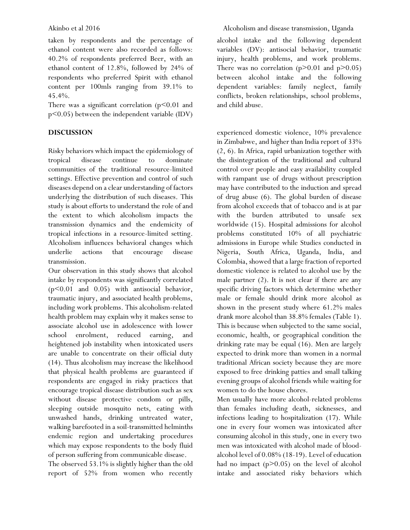taken by respondents and the percentage of ethanol content were also recorded as follows: 40.2% of respondents preferred Beer, with an ethanol content of 12.8%, followed by 24% of respondents who preferred Spirit with ethanol content per 100mls ranging from 39.1% to 45.4%.

There was a significant correlation  $(p<0.01$  and p<0.05) between the independent variable (IDV)

### **DISCUSSION**

Risky behaviors which impact the epidemiology of tropical disease continue to dominate communities of the traditional resource-limited settings. Effective prevention and control of such diseases depend on a clear understanding of factors underlying the distribution of such diseases. This study is about efforts to understand the role of and the extent to which alcoholism impacts the transmission dynamics and the endemicity of tropical infections in a resource-limited setting. Alcoholism influences behavioral changes which underlie actions that encourage disease transmission.

Our observation in this study shows that alcohol intake by respondents was significantly correlated (p<0.01 and 0.05) with antisocial behavior, traumatic injury, and associated health problems, including work problems. This alcoholism-related health problem may explain why it makes sense to associate alcohol use in adolescence with lower school enrolment, reduced earning, and heightened job instability when intoxicated users are unable to concentrate on their official duty (14). Thus alcoholism may increase the likelihood that physical health problems are guaranteed if respondents are engaged in risky practices that encourage tropical disease distribution such as sex without disease protective condom or pills, sleeping outside mosquito nets, eating with unwashed hands, drinking untreated water, walking barefooted in a soil-transmitted helminths endemic region and undertaking procedures which may expose respondents to the body fluid of person suffering from communicable disease.

The observed 53.1% is slightly higher than the old report of 52% from women who recently alcohol intake and the following dependent variables (DV): antisocial behavior, traumatic injury, health problems, and work problems. There was no correlation  $(p>0.01$  and  $p>0.05$ ) between alcohol intake and the following dependent variables: family neglect, family conflicts, broken relationships, school problems, and child abuse.

experienced domestic violence, 10% prevalence in Zimbabwe, and higher than India report of 33% (2, 6). In Africa, rapid urbanization together with the disintegration of the traditional and cultural control over people and easy availability coupled with rampant use of drugs without prescription may have contributed to the induction and spread of drug abuse (6). The global burden of disease from alcohol exceeds that of tobacco and is at par with the burden attributed to unsafe sex worldwide (15). Hospital admissions for alcohol problems constituted 10% of all psychiatric admissions in Europe while Studies conducted in Nigeria, South Africa, Uganda, India, and Colombia, showed that a large fraction of reported domestic violence is related to alcohol use by the male partner (2). It is not clear if there are any specific driving factors which determine whether male or female should drink more alcohol as shown in the present study where 61.2% males drank more alcohol than 38.8% females (Table 1). This is because when subjected to the same social, economic, health, or geographical condition the drinking rate may be equal (16). Men are largely expected to drink more than women in a normal traditional African society because they are more exposed to free drinking patties and small talking evening groups of alcohol friends while waiting for women to do the house chores.

Men usually have more alcohol-related problems than females including death, sicknesses, and infections leading to hospitalization (17). While one in every four women was intoxicated after consuming alcohol in this study, one in every two men was intoxicated with alcohol made of bloodalcohol level of 0.08% (18-19). Level of education had no impact (p>0.05) on the level of alcohol intake and associated risky behaviors which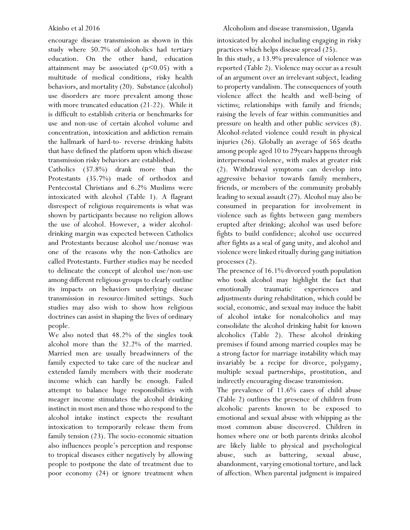encourage disease transmission as shown in this study where 50.7% of alcoholics had tertiary education. On the other hand, education attainment may be associated  $(p<0.05)$  with a multitude of medical conditions, risky health behaviors, and mortality (20). Substance (alcohol) use disorders are more prevalent among those with more truncated education (21-22). While it is difficult to establish criteria or benchmarks for use and non-use of certain alcohol volume and concentration, intoxication and addiction remain the hallmark of hard-to- reverse drinking habits that have defined the platform upon which disease transmission risky behaviors are established.

Catholics (37.8%) drank more than the Protestants (35.7%) made of orthodox and Pentecostal Christians and 6.2% Muslims were intoxicated with alcohol (Table 1). A flagrant disrespect of religious requirements is what was shown by participants because no religion allows the use of alcohol. However, a wider alcoholdrinking margin was expected between Catholics and Protestants because alcohol use/nonuse was one of the reasons why the non-Catholics are called Protestants. Further studies may be needed to delineate the concept of alcohol use/non-use among different religious groups to clearly outline its impacts on behaviors underlying disease transmission in resource-limited settings. Such studies may also wish to show how religious doctrines can assist in shaping the lives of ordinary people.

We also noted that 48.2% of the singles took alcohol more than the 32.2% of the married. Married men are usually breadwinners of the family expected to take care of the nuclear and extended family members with their moderate income which can hardly be enough. Failed attempt to balance huge responsibilities with meager income stimulates the alcohol drinking instinct in most men and those who respond to the alcohol intake instinct expects the resultant intoxication to temporarily release them from family tension (23). The socio-economic situation also influences people's perception and response to tropical diseases either negatively by allowing people to postpone the date of treatment due to poor economy (24) or ignore treatment when intoxicated by alcohol including engaging in risky practices which helps disease spread (25).

In this study, a 13.9% prevalence of violence was reported (Table 2). Violence may occur as a result of an argument over an irrelevant subject, leading to property vandalism. The consequences of youth violence affect the health and well-being of victims; relationships with family and friends; raising the levels of fear within communities and pressure on health and other public services (8). Alcohol-related violence could result in physical injuries (26). Globally an average of 565 deaths among people aged 10 to 29years happens through interpersonal violence, with males at greater risk (2). Withdrawal symptoms can develop into aggressive behavior towards family members, friends, or members of the community probably leading to sexual assault (27). Alcohol may also be consumed in preparation for involvement in violence such as fights between gang members erupted after drinking; alcohol was used before fights to build confidence; alcohol use occurred after fights as a seal of gang unity, and alcohol and violence were linked ritually during gang initiation processes (2).

The presence of 16.1% divorced youth population who took alcohol may highlight the fact that emotionally traumatic experiences and adjustments during rehabilitation, which could be social, economic, and sexual may induce the habit of alcohol intake for nonalcoholics and may consolidate the alcohol drinking habit for known alcoholics (Table 2). These alcohol drinking premises if found among married couples may be a strong factor for marriage instability which may invariably be a recipe for divorce, polygamy, multiple sexual partnerships, prostitution, and indirectly encouraging disease transmission.

The prevalence of 11.6% cases of child abuse (Table 2) outlines the presence of children from alcoholic parents known to be exposed to emotional and sexual abuse with whipping as the most common abuse discovered. Children in homes where one or both parents drinks alcohol are likely liable to physical and psychological abuse, such as battering, sexual abuse, abandonment, varying emotional torture, and lack of affection. When parental judgment is impaired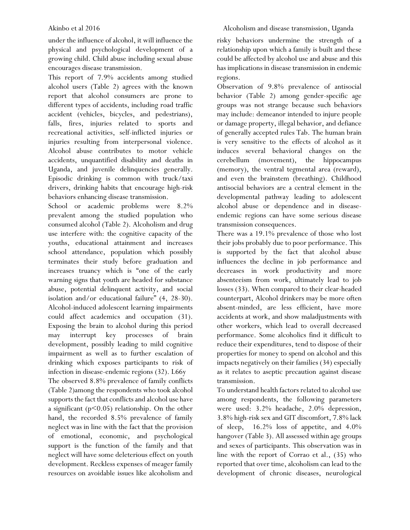under the influence of alcohol, it will influence the physical and psychological development of a growing child. Child abuse including sexual abuse encourages disease transmission.

This report of 7.9% accidents among studied alcohol users (Table 2) agrees with the known report that alcohol consumers are prone to different types of accidents, including road traffic accident (vehicles, bicycles, and pedestrians), falls, fires, injuries related to sports and recreational activities, self-inflicted injuries or injuries resulting from interpersonal violence. Alcohol abuse contributes to motor vehicle accidents, unquantified disability and deaths in Uganda, and juvenile delinquencies generally. Episodic drinking is common with truck/taxi drivers, drinking habits that encourage high-risk behaviors enhancing disease transmission.

School or academic problems were 8.2% prevalent among the studied population who consumed alcohol (Table 2). Alcoholism and drug use interfere with: the cognitive capacity of the youths, educational attainment and increases school attendance, population which possibly terminates their study before graduation and increases truancy which is "one of the early warning signs that youth are headed for substance abuse, potential delinquent activity, and social isolation and/or educational failure" (4, 28-30). Alcohol-induced adolescent learning impairments could affect academics and occupation (31). Exposing the brain to alcohol during this period may interrupt key processes of brain development, possibly leading to mild cognitive impairment as well as to further escalation of drinking which exposes participants to risk of infection in disease-endemic regions (32). L66y

The observed 8.8% prevalence of family conflicts (Table 2)among the respondents who took alcohol supports the fact that conflicts and alcohol use have a significant ( $p$ <0.05) relationship. On the other hand, the recorded 8.5% prevalence of family neglect was in line with the fact that the provision of emotional, economic, and psychological support is the function of the family and that neglect will have some deleterious effect on youth development. Reckless expenses of meager family resources on avoidable issues like alcoholism and

risky behaviors undermine the strength of a relationship upon which a family is built and these could be affected by alcohol use and abuse and this has implications in disease transmission in endemic regions.

Observation of 9.8% prevalence of antisocial behavior (Table 2) among gender-specific age groups was not strange because such behaviors may include: demeanor intended to injure people or damage property, illegal behavior, and defiance of generally accepted rules Tab. The human brain is very sensitive to the effects of alcohol as it induces several behavioral changes on the cerebellum (movement), the hippocampus (memory), the ventral tegmental area (reward), and even the brainstem (breathing). Childhood antisocial behaviors are a central element in the developmental pathway leading to adolescent alcohol abuse or dependence and in diseaseendemic regions can have some serious disease transmission consequences.

There was a 19.1% prevalence of those who lost their jobs probably due to poor performance. This is supported by the fact that alcohol abuse influences the decline in job performance and decreases in work productivity and more absenteeism from work, ultimately lead to job losses (33). When compared to their clear-headed counterpart, Alcohol drinkers may be more often absent-minded, are less efficient, have more accidents at work, and show maladjustments with other workers, which lead to overall decreased performance. Some alcoholics find it difficult to reduce their expenditures, tend to dispose of their properties for money to spend on alcohol and this impacts negatively on their families (34) especially as it relates to aseptic precaution against disease transmission.

To understand health factors related to alcohol use among respondents, the following parameters were used: 3.2% headache, 2.0% depression, 3.8% high-risk sex and GIT discomfort, 7.8% lack of sleep, 16.2% loss of appetite, and 4.0% hangover (Table 3). All assessed within age groups and sexes of participants. This observation was in line with the report of Corrao et al., (35) who reported that over time, alcoholism can lead to the development of chronic diseases, neurological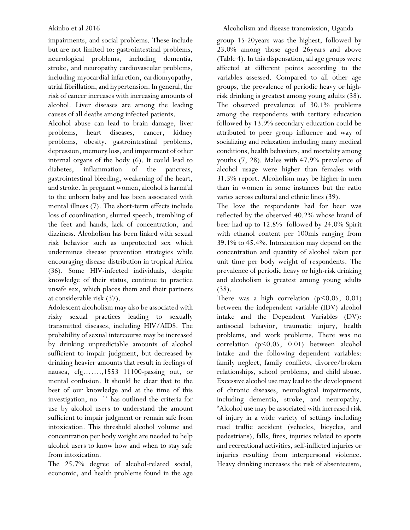impairments, and social problems. These include but are not limited to: gastrointestinal problems, neurological problems, including dementia, stroke, and neuropathy cardiovascular problems, including myocardial infarction, cardiomyopathy, atrial fibrillation, and hypertension. In general, the risk of cancer increases with increasing amounts of alcohol. Liver diseases are among the leading causes of all deaths among infected patients.

Alcohol abuse can lead to brain damage, liver problems, heart diseases, cancer, kidney problems, obesity, gastrointestinal problems, depression, memory loss, and impairment of other internal organs of the body (6). It could lead to diabetes, inflammation of the pancreas, gastrointestinal bleeding, weakening of the heart, and stroke. In pregnant women, alcohol is harmful to the unborn baby and has been associated with mental illness (7). The short-term effects include loss of coordination, slurred speech, trembling of the feet and hands, lack of concentration, and dizziness. Alcoholism has been linked with sexual risk behavior such as unprotected sex which undermines disease prevention strategies while encouraging disease distribution in tropical Africa (36). Some HIV-infected individuals, despite knowledge of their status, continue to practice unsafe sex, which places them and their partners at considerable risk (37).

Adolescent alcoholism may also be associated with risky sexual practices leading to sexually transmitted diseases, including HIV/AIDS. The probability of sexual intercourse may be increased by drinking unpredictable amounts of alcohol sufficient to impair judgment, but decreased by drinking heavier amounts that result in feelings of nausea, cfg…….,1553 11100-passing out, or mental confusion. It should be clear that to the best of our knowledge and at the time of this investigation, no `` has outlined the criteria for use by alcohol users to understand the amount sufficient to impair judgment or remain safe from intoxication. This threshold alcohol volume and concentration per body weight are needed to help alcohol users to know how and when to stay safe from intoxication.

The 25.7% degree of alcohol-related social, economic, and health problems found in the age

group 15-20years was the highest, followed by 23.0% among those aged 26years and above (Table 4). In this dispensation, all age groups were affected at different points according to the variables assessed. Compared to all other age groups, the prevalence of periodic heavy or highrisk drinking is greatest among young adults (38). The observed prevalence of 30.1% problems among the respondents with tertiary education followed by 13.9% secondary education could be attributed to peer group influence and way of socializing and relaxation including many medical conditions, health behaviors, and mortality among youths (7, 28). Males with 47.9% prevalence of alcohol usage were higher than females with 31.5% report. Alcoholism may be higher in men than in women in some instances but the ratio varies across cultural and ethnic lines (39).

The love the respondents had for beer was reflected by the observed 40.2% whose brand of beer had up to 12.8% followed by 24.0% Spirit with ethanol content per 100mls ranging from 39.1% to 45.4%. Intoxication may depend on the concentration and quantity of alcohol taken per unit time per body weight of respondents. The prevalence of periodic heavy or high-risk drinking and alcoholism is greatest among young adults (38).

There was a high correlation  $(p<0.05, 0.01)$ between the independent variable (IDV) alcohol intake and the Dependent Variables (DV): antisocial behavior, traumatic injury, health problems, and work problems. There was no correlation (p<0.05, 0.01) between alcohol intake and the following dependent variables: family neglect, family conflicts, divorce/broken relationships, school problems, and child abuse. Excessive alcohol use may lead to the development of chronic diseases, neurological impairments, including dementia, stroke, and neuropathy. "Alcohol use may be associated with increased risk of injury in a wide variety of settings including road traffic accident (vehicles, bicycles, and pedestrians), falls, fires, injuries related to sports and recreational activities, self-inflicted injuries or injuries resulting from interpersonal violence. Heavy drinking increases the risk of absenteeism,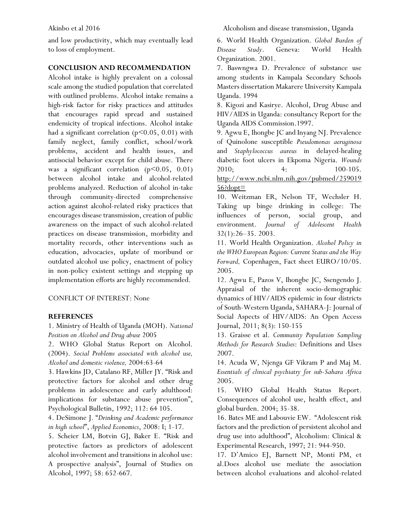and low productivity, which may eventually lead to loss of employment.

#### **CONCLUSION AND RECOMMENDATION**

Alcohol intake is highly prevalent on a colossal scale among the studied population that correlated with outlined problems. Alcohol intake remains a high-risk factor for risky practices and attitudes that encourages rapid spread and sustained endemicity of tropical infections. Alcohol intake had a significant correlation ( $p$ <0.05, 0.01) with family neglect, family conflict, school/work problems, accident and health issues, and antisocial behavior except for child abuse. There was a significant correlation  $(p<0.05, 0.01)$ between alcohol intake and alcohol-related problems analyzed. Reduction of alcohol in-take through community-directed comprehensive action against alcohol-related risky practices that encourages disease transmission, creation of public awareness on the impact of such alcohol-related practices on disease transmission, morbidity and mortality records, other interventions such as education, advocacies, update of moribund or outdated alcohol use policy, enactment of policy in non-policy existent settings and stepping up implementation efforts are highly recommended.

#### CONFLICT OF INTEREST: None

#### **REFERENCES**

1. Ministry of Health of Uganda (MOH). *National Position on Alcohol and Drug abuse* 2005

2. WHO Global Status Report on Alcohol. (2004). *Social Problems associated with alcohol use, Alcohol and domestic violence,* 2004:63-64

3. Hawkins JD, Catalano RF, Miller JY. "Risk and protective factors for alcohol and other drug problems in adolescence and early adulthood: implications for substance abuse prevention", Psychological Bulletin, 1992; 112: 64 105.

4. DeSimone J. "*Drinking and Academic performance in high school*", *Applied Economics*, 2008: I; 1-17.

5. Scheier LM, Botvin GJ, Baker E. "Risk and protective factors as predictors of adolescent alcohol involvement and transitions in alcohol use: A prospective analysis", Journal of Studies on Alcohol, 1997; 58: 652-667.

Akinbo et al 2016 Alcoholism and disease transmission, Uganda

6. World Health Organization. *Global Burden of Disease Study*. Geneva: World Health Organization. 2001.

7. Baswngwa D. Prevalence of substance use among students in Kampala Secondary Schools Masters dissertation Makarere University Kampala Uganda. 1994

8. Kigozi and Kasirye. Alcohol, Drug Abuse and HIV/AIDS in Uganda: consultancy Report for the Uganda AIDS Commission.1997.

9. Agwu E, Ihongbe JC and Inyang NJ. Prevalence of Quinolone susceptible *Pseudomonas aeruginosa* and *Staphylococcus aureus* in delayed-healing diabetic foot ulcers in Ekpoma Nigeria. *Wounds* 2010; 4: 100-105. [http://www.ncbi.nlm.nih.gov/pubmed/259019](http://www.ncbi.nlm.nih.gov/pubmed/25901956?dopt=Abstract)  $56$ ?dopt=

10. Weitzman ER, Nelson TF, Wechsler H. Taking up binge drinking in college: The influences of person, social group, and environment. *Journal of Adolescent Health* 32(1):26–35. 2003.

11. World Health Organization. *Alcohol Policy in the WHO European Region: Current Status and the Way Forward,* Copenhagen, Fact sheet EURO/10/05. 2005.

12. Agwu E, Pazos V, Ihongbe JC, Ssengendo J. Appraisal of the inherent socio-demographic dynamics of HIV/AIDS epidemic in four districts of South-Western Uganda, SAHARA-J: Journal of Social Aspects of HIV/AIDS: An Open Access Journal, 2011; 8(3): 150-155

13. Graisse et al. *Community Population Sampling Methods for Research Studies*: Definitions and Uses 2007.

14. Acuda W, Njenga GF Vikram P and Maj M. *Essentials of clinical psychiatry for sub-Sahara Africa*  2005.

15. WHO Global Health Status Report. Consequences of alcohol use, health effect, and global burden. 2004; 35-38.

16. Bates ME and Labouvie EW. "Adolescent risk factors and the prediction of persistent alcohol and drug use into adulthood", Alcoholism: Clinical & Experimental Research, 1997; 21: 944-950.

17. D'Amico EJ, Barnett NP, Monti PM, et al.Does alcohol use mediate the association between alcohol evaluations and alcohol-related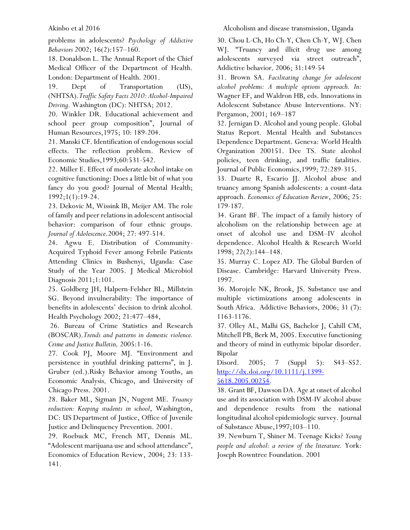problems in adolescents? *Psychology of Addictive Behaviors* 2002; 16(2):157–160.

18. Donaldson L. The Annual Report of the Chief Medical Officer of the Department of Health. London: Department of Health. 2001.

19. Dept of Transportation (US), (NHTSA).*Traffic Safety Facts 2010: Alcohol-Impaired Driving.* Washington (DC): NHTSA; 2012.

20. Winkler DR. Educational achievement and school peer group composition", Journal of Human Resources,1975; 10: 189-204.

21. Manski CF. Identification of endogenous social effects. The reflection problem. Review of Economic Studies,1993;60:531-542.

22. Miller E. Effect of moderate alcohol intake on cognitive functioning: Does a little bit of what you fancy do you good? Journal of Mental Health; 1992;1(1):19-24.

23. Dekovic M, Wissink IB, Meijer AM. The role of family and peer relations in adolescent antisocial behavior: comparison of four ethnic groups. *Journal of Adolescence*.2004; 27: 497-514.

24. Agwu E. Distribution of Community-Acquired Typhoid Fever among Febrile Patients Attending Clinics in Bushenyi, Uganda: Case Study of the Year 2005. J Medical Microbiol Diagnosis 2011;1:101.

25. Goldberg JH, Halpern-Felsher BL, Millstein SG. Beyond invulnerability: The importance of benefits in adolescents' decision to drink alcohol*.* Health Psychology 2002; 21:477–484,

26. Bureau of Crime Statistics and Research (BOSCAR).*Trends and patterns in domestic violence. Crime and Justice Bulletin,* 2005:1-16.

27. Cook PJ, Moore MJ. "Environment and persistence in youthful drinking patterns", in J. Gruber (ed.).Risky Behavior among Youths, an Economic Analysis*,* Chicago, and University of Chicago Press. 2001.

28. Baker ML, Sigman JN, Nugent ME. *Truancy reduction: Keeping students in school*, Washington, DC: US Department of Justice, Office of Juvenile Justice and Delinquency Prevention. 2001.

29. Roebuck MC, French MT, Dennis ML. "Adolescent marijuana use and school attendance", Economics of Education Review, 2004; 23: 133- 141.

Akinbo et al 2016 Alcoholism and disease transmission, Uganda

30. Chou L-Ch, Ho Ch-Y, Chen Ch-Y, WJ. Chen WJ. "Truancy and illicit drug use among adolescents surveyed via street outreach", Addictive behavior*,* 2006; 31:149-54

31. Brown SA. *Facilitating change for adolescent alcohol problems: A multiple options approach. In:* Wagner EF, and Waldron HB, eds. Innovations in Adolescent Substance Abuse Interventions. NY: Pergamon, 2001; 169–187

32. Jernigan D. Alcohol and young people. Global Status Report. Mental Health and Substances Dependence Department. Geneva: World Health Organization 200151. Dee TS. State alcohol policies, teen drinking, and traffic fatalities. Journal of Public Economics,1999; 72:289-315.

33. Duarte R, Escario JJ. Alcohol abuse and truancy among Spanish adolescents: a count-data approach. *Economics of Education Review*, 2006; 25: 179-187.

34. Grant BF. The impact of a family history of alcoholism on the relationship between age at onset of alcohol use and DSM–IV alcohol dependence. Alcohol Health & Research World 1998; 22(2):144–148.

35. Murray C. Lopez AD. The Global Burden of Disease. Cambridge: Harvard University Press. 1997.

36. Morojele NK, Brook, JS. Substance use and multiple victimizations among adolescents in South Africa. Addictive Behaviors, 2006; 31 (7): 1163-1176.

37. Olley AL, Malhi GS, Bachelor J, Cahill CM, Mitchell PB, Berk M, 2005. Executive functioning and theory of mind in euthymic bipolar disorder. Bipolar

Disord. 2005; 7 (Suppl 5): S43–S52. [http://dx.doi.org/10.1111/j.1399-](http://dx.doi.org/10.1111/j.1399-5618.2005.00254) [5618.2005.00254.](http://dx.doi.org/10.1111/j.1399-5618.2005.00254)

38. Grant BF, Dawson DA. Age at onset of alcohol use and its association with DSM-IV alcohol abuse and dependence results from the national longitudinal alcohol epidemiologic survey. Journal of Substance Abuse,1997;103–110.

39. Newburn T, Shiner M. Teenage Kicks? *Young people and alcohol: a review of the literature.* York: Joseph Rowntree Foundation. 2001